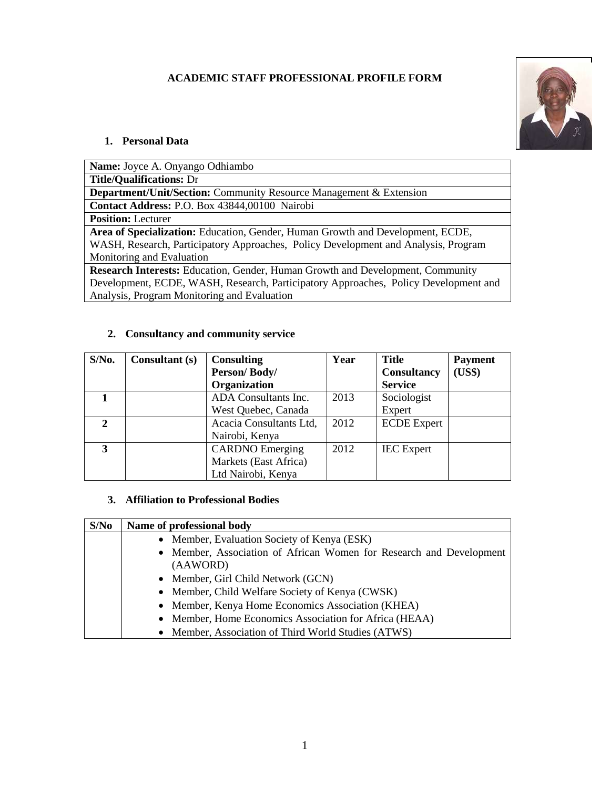# **ACADEMIC STAFF PROFESSIONAL PROFILE FORM**



#### **1. Personal Data**

**Name:** Joyce A. Onyango Odhiambo **Title/Qualifications:** Dr **Department/Unit/Section:** Community Resource Management & Extension **Contact Address:** P.O. Box 43844,00100 Nairobi **Position:** Lecturer **Area of Specialization:** Education, Gender, Human Growth and Development, ECDE, WASH, Research, Participatory Approaches, Policy Development and Analysis, Program Monitoring and Evaluation **Research Interests:** Education, Gender, Human Growth and Development, Community Development, ECDE, WASH, Research, Participatory Approaches, Policy Development and Analysis, Program Monitoring and Evaluation

## **2. Consultancy and community service**

| $S/N0$ . | <b>Consultant</b> (s) | <b>Consulting</b>       | Year | <b>Title</b>       | <b>Payment</b> |
|----------|-----------------------|-------------------------|------|--------------------|----------------|
|          |                       | Person/Body/            |      | <b>Consultancy</b> | (US\$)         |
|          |                       | Organization            |      | <b>Service</b>     |                |
|          |                       | ADA Consultants Inc.    | 2013 | Sociologist        |                |
|          |                       | West Quebec, Canada     |      | Expert             |                |
| 2        |                       | Acacia Consultants Ltd, | 2012 | <b>ECDE</b> Expert |                |
|          |                       | Nairobi, Kenya          |      |                    |                |
| 3        |                       | <b>CARDNO</b> Emerging  | 2012 | <b>IEC</b> Expert  |                |
|          |                       | Markets (East Africa)   |      |                    |                |
|          |                       | Ltd Nairobi, Kenya      |      |                    |                |

#### **3. Affiliation to Professional Bodies**

| S/No | Name of professional body                                                       |  |  |
|------|---------------------------------------------------------------------------------|--|--|
|      | • Member, Evaluation Society of Kenya (ESK)                                     |  |  |
|      | • Member, Association of African Women for Research and Development<br>(AAWORD) |  |  |
|      | • Member, Girl Child Network (GCN)                                              |  |  |
|      | • Member, Child Welfare Society of Kenya (CWSK)                                 |  |  |
|      | • Member, Kenya Home Economics Association (KHEA)                               |  |  |
|      | • Member, Home Economics Association for Africa (HEAA)                          |  |  |
|      | • Member, Association of Third World Studies (ATWS)                             |  |  |